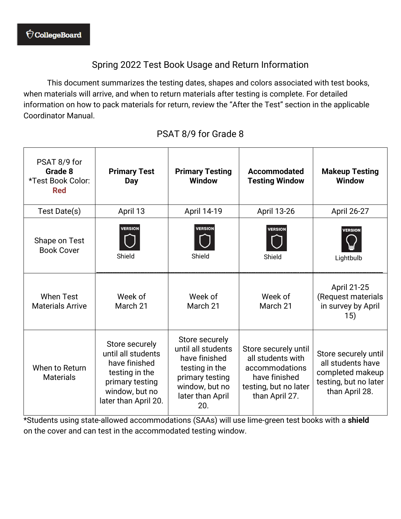## Spring 2022 Test Book Usage and Return Information

This document summarizes the testing dates, shapes and colors associated with test books, when materials will arrive, and when to return materials after testing is complete. For detailed information on how to pack materials for return, review the "After the Test" section in the applicable Coordinator Manual.

| PSAT 8/9 for<br>Grade 8<br>*Test Book Color:<br><b>Red</b> | <b>Primary Test</b><br>Day                                                                                                           | <b>Primary Testing</b><br><b>Window</b>                                                                                                 | <b>Accommodated</b><br><b>Testing Window</b>                                                                            | <b>Makeup Testing</b><br><b>Window</b>                                                                   |
|------------------------------------------------------------|--------------------------------------------------------------------------------------------------------------------------------------|-----------------------------------------------------------------------------------------------------------------------------------------|-------------------------------------------------------------------------------------------------------------------------|----------------------------------------------------------------------------------------------------------|
| Test Date(s)                                               | April 13                                                                                                                             | April 14-19                                                                                                                             | April 13-26                                                                                                             | April 26-27                                                                                              |
| Shape on Test<br><b>Book Cover</b>                         | <b>VERSION</b><br>Shield                                                                                                             | <b>VERSION</b><br>Shield                                                                                                                | <b>VERSION</b><br>Shield                                                                                                | <b>VERSION</b><br>Lightbulb                                                                              |
| <b>When Test</b><br><b>Materials Arrive</b>                | Week of<br>March 21                                                                                                                  | Week of<br>March 21                                                                                                                     | Week of<br>March 21                                                                                                     | April 21-25<br>(Request materials<br>in survey by April<br>15)                                           |
| When to Return<br><b>Materials</b>                         | Store securely<br>until all students<br>have finished<br>testing in the<br>primary testing<br>window, but no<br>later than April 20. | Store securely<br>until all students<br>have finished<br>testing in the<br>primary testing<br>window, but no<br>later than April<br>20. | Store securely until<br>all students with<br>accommodations<br>have finished<br>testing, but no later<br>than April 27. | Store securely until<br>all students have<br>completed makeup<br>testing, but no later<br>than April 28. |

## PSAT 8/9 for Grade 8

\*Students using state-allowed accommodations (SAAs) will use lime-green test books with a **shield** on the cover and can test in the accommodated testing window.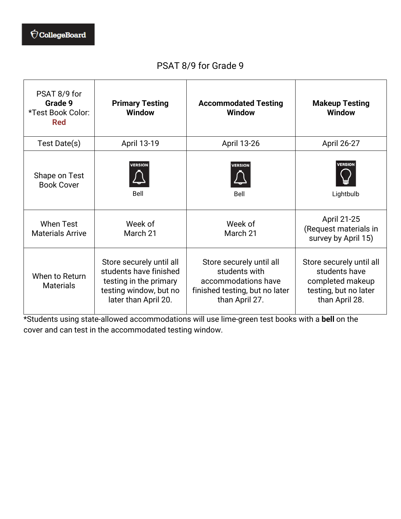## PSAT 8/9 for Grade 9

| PSAT 8/9 for<br>Grade 9<br>*Test Book Color:<br><b>Red</b> | <b>Primary Testing</b><br><b>Window</b>                                                                                        | <b>Accommodated Testing</b><br><b>Window</b>                                                                         | <b>Makeup Testing</b><br><b>Window</b>                                                                   |
|------------------------------------------------------------|--------------------------------------------------------------------------------------------------------------------------------|----------------------------------------------------------------------------------------------------------------------|----------------------------------------------------------------------------------------------------------|
| Test Date(s)                                               | April 13-19                                                                                                                    | April 13-26                                                                                                          | April 26-27                                                                                              |
| Shape on Test<br><b>Book Cover</b>                         | <b>VERSION</b><br>Bell                                                                                                         | <b>VERSION</b><br>Bell                                                                                               | <b>VERSION</b><br>Lightbulb                                                                              |
| <b>When Test</b><br><b>Materials Arrive</b>                | Week of<br>March 21                                                                                                            | Week of<br>March 21                                                                                                  | April 21-25<br>(Request materials in<br>survey by April 15)                                              |
| When to Return<br><b>Materials</b>                         | Store securely until all<br>students have finished<br>testing in the primary<br>testing window, but no<br>later than April 20. | Store securely until all<br>students with<br>accommodations have<br>finished testing, but no later<br>than April 27. | Store securely until all<br>students have<br>completed makeup<br>testing, but no later<br>than April 28. |

\*Students using state-allowed accommodations will use lime-green test books with a **bell** on the cover and can test in the accommodated testing window.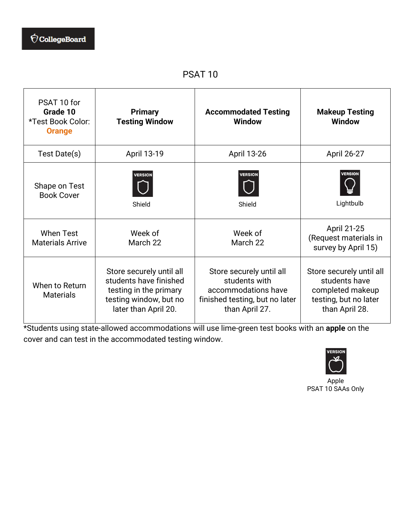PSAT 10

| PSAT 10 for<br>Grade 10<br>*Test Book Color:<br><b>Orange</b> | <b>Primary</b><br><b>Testing Window</b>                                                                                        | <b>Accommodated Testing</b><br><b>Window</b>                                                                         | <b>Makeup Testing</b><br><b>Window</b>                                                                   |
|---------------------------------------------------------------|--------------------------------------------------------------------------------------------------------------------------------|----------------------------------------------------------------------------------------------------------------------|----------------------------------------------------------------------------------------------------------|
| Test Date(s)                                                  | April 13-19                                                                                                                    | April 13-26                                                                                                          | April 26-27                                                                                              |
| Shape on Test<br><b>Book Cover</b>                            | <b>VERSION</b><br>Shield                                                                                                       | <b>VERSION</b><br>Shield                                                                                             | <b>VERSION</b><br>Lightbulb                                                                              |
| <b>When Test</b><br><b>Materials Arrive</b>                   | Week of<br>March 22                                                                                                            | Week of<br>March 22                                                                                                  | April 21-25<br>(Request materials in<br>survey by April 15)                                              |
| When to Return<br><b>Materials</b>                            | Store securely until all<br>students have finished<br>testing in the primary<br>testing window, but no<br>later than April 20. | Store securely until all<br>students with<br>accommodations have<br>finished testing, but no later<br>than April 27. | Store securely until all<br>students have<br>completed makeup<br>testing, but no later<br>than April 28. |

\*Students using state-allowed accommodations will use lime-green test books with an **apple** on the cover and can test in the accommodated testing window.



Apple PSAT 10 SAAs Only